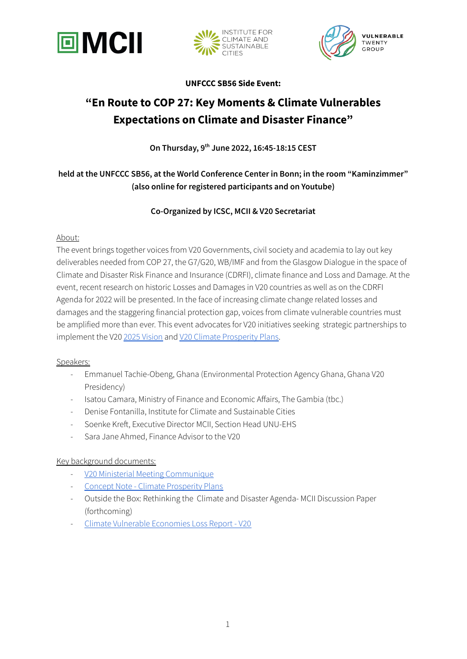





**UNFCCC SB56 Side Event:**

# **"En Route to COP 27: Key Moments & Climate Vulnerables Expectations on Climate and Disaster Finance"**

**On Thursday, 9 th June 2022, 16:45-18:15 CEST**

# **held at the UNFCCC SB56, at the World Conference Center in Bonn; in the room "Kaminzimmer" (also online for registered participants and on Youtube)**

## **Co-Organized by ICSC, MCII & V20 Secretariat**

#### About:

The event brings together voices from V20 Governments, civil society and academia to lay out key deliverables needed from COP 27, the G7/G20, WB/IMF and from the Glasgow Dialogue in the space of Climate and Disaster Risk Finance and Insurance (CDRFI), climate finance and Loss and Damage. At the event, recent research on historic Losses and Damages in V20 countries as well as on the CDRFI Agenda for 2022 will be presented. In the face of increasing climate change related losses and damages and the staggering financial protection gap, voices from climate vulnerable countries must be amplified more than ever. This event advocates for V20 initiatives seeking strategic partnerships to implement the V20 2025 [Vision](https://www.v-20.org/resources/publications/v20-vision-2025) and V20 Climate [Prosperity](https://thecvf.org/intranet/wp-content/uploads/sites/3/2022/03/CVF-V20-Climate-Prosperity-Plans-Concept-Note.pdf) Plans.

## Speakers:

- Emmanuel Tachie-Obeng, Ghana (Environmental Protection Agency Ghana, Ghana V20 Presidency)
- Isatou Camara, Ministry of Finance and Economic Affairs, The Gambia (tbc.)
- Denise Fontanilla, Institute for Climate and [Sustainable](https://icsc.ngo/) Cities
- Soenke Kreft, Executive Director MCII, Section Head UNU-EHS
- Sara Jane Ahmed, Finance Advisor to the V20

## Key background documents:

- V20 Ministerial Meeting [Communique](https://www.v-20.org/activities/ministerial/ministerial-dialogue-viii-of-the-vulnerable-twenty-group-21-april-2022)
- Concept Note Climate [Prosperity](https://thecvf.org/intranet/wp-content/uploads/sites/3/2022/03/CVF-V20-Climate-Prosperity-Plans-Concept-Note.pdf) Plans
- Outside the Box: Rethinking the Climate and Disaster Agenda- MCII Discussion Paper (forthcoming)
- Climate Vulnerable [Economies](https://www.v-20.org/resources/publications/climate-vulnerable-economies-loss-report) Loss Report V20